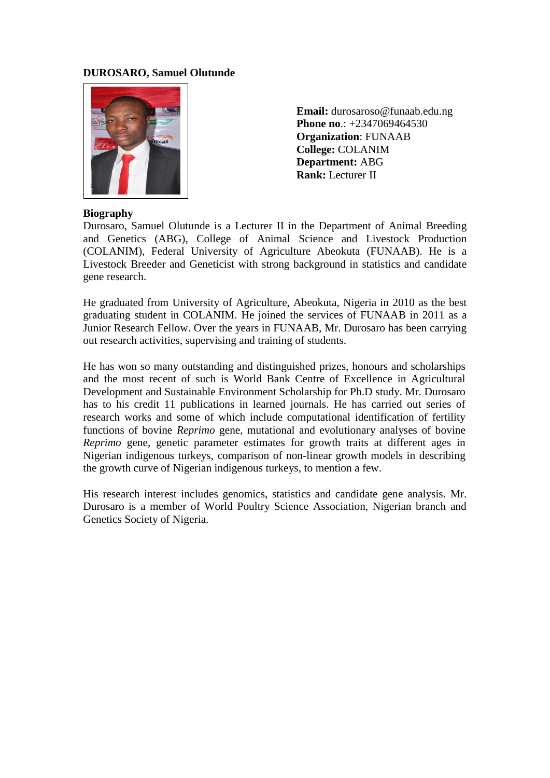## **DUROSARO, Samuel Olutunde**



 **Email:** durosaroso@funaab.edu.ng **Phone no.: +2347069464530 Organization**: FUNAAB **College:** COLANIM  **Department:** ABG  **Rank:** Lecturer II

#### **Biography**

Durosaro, Samuel Olutunde is a Lecturer II in the Department of Animal Breeding and Genetics (ABG), College of Animal Science and Livestock Production (COLANIM), Federal University of Agriculture Abeokuta (FUNAAB). He is a Livestock Breeder and Geneticist with strong background in statistics and candidate gene research.

He graduated from University of Agriculture, Abeokuta, Nigeria in 2010 as the best graduating student in COLANIM. He joined the services of FUNAAB in 2011 as a Junior Research Fellow. Over the years in FUNAAB, Mr. Durosaro has been carrying out research activities, supervising and training of students.

He has won so many outstanding and distinguished prizes, honours and scholarships and the most recent of such is World Bank Centre of Excellence in Agricultural Development and Sustainable Environment Scholarship for Ph.D study. Mr. Durosaro has to his credit 11 publications in learned journals. He has carried out series of research works and some of which include computational identification of fertility functions of bovine *Reprimo* gene, mutational and evolutionary analyses of bovine *Reprimo* gene, genetic parameter estimates for growth traits at different ages in Nigerian indigenous turkeys, comparison of non-linear growth models in describing the growth curve of Nigerian indigenous turkeys, to mention a few.

His research interest includes genomics, statistics and candidate gene analysis. Mr. Durosaro is a member of World Poultry Science Association, Nigerian branch and Genetics Society of Nigeria.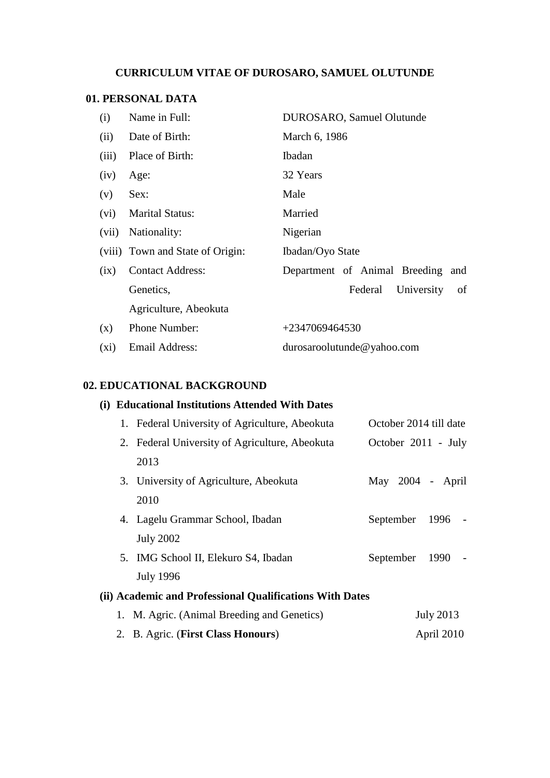# **CURRICULUM VITAE OF DUROSARO, SAMUEL OLUTUNDE**

# **01. PERSONAL DATA**

| (i)     | Name in Full:                    | DUROSARO, Samuel Olutunde         |  |  |  |  |
|---------|----------------------------------|-----------------------------------|--|--|--|--|
| (ii)    | Date of Birth:                   | March 6, 1986                     |  |  |  |  |
| (iii)   | Place of Birth:                  | <b>Ibadan</b>                     |  |  |  |  |
| (iv)    | Age:                             | 32 Years                          |  |  |  |  |
| (v)     | Sex:                             | Male                              |  |  |  |  |
| (vi)    | <b>Marital Status:</b>           | Married                           |  |  |  |  |
| (vii)   | Nationality:                     | Nigerian                          |  |  |  |  |
|         | (viii) Town and State of Origin: | Ibadan/Oyo State                  |  |  |  |  |
| (ix)    | <b>Contact Address:</b>          | Department of Animal Breeding and |  |  |  |  |
|         | Genetics,                        | University<br>Federal<br>of       |  |  |  |  |
|         | Agriculture, Abeokuta            |                                   |  |  |  |  |
| (x)     | Phone Number:                    | $+2347069464530$                  |  |  |  |  |
| $(x_i)$ | Email Address:                   | durosaroolutunde@yahoo.com        |  |  |  |  |

## **02. EDUCATIONAL BACKGROUND**

# **(i) Educational Institutions Attended With Dates**

|                                                          | 1. Federal University of Agriculture, Abeokuta |           | October 2014 till date |                  |  |  |  |
|----------------------------------------------------------|------------------------------------------------|-----------|------------------------|------------------|--|--|--|
|                                                          | 2. Federal University of Agriculture, Abeokuta |           | October 2011 - July    |                  |  |  |  |
|                                                          | 2013                                           |           |                        |                  |  |  |  |
|                                                          | 3. University of Agriculture, Abeokuta         |           | May 2004 - April       |                  |  |  |  |
|                                                          | 2010                                           |           |                        |                  |  |  |  |
|                                                          | 4. Lagelu Grammar School, Ibadan               | September |                        | 1996             |  |  |  |
|                                                          | <b>July 2002</b>                               |           |                        |                  |  |  |  |
|                                                          | 5. IMG School II, Elekuro S4, Ibadan           | September |                        | 1990             |  |  |  |
|                                                          | <b>July 1996</b>                               |           |                        |                  |  |  |  |
| (ii) Academic and Professional Qualifications With Dates |                                                |           |                        |                  |  |  |  |
|                                                          | 1. M. Agric. (Animal Breeding and Genetics)    |           |                        | <b>July 2013</b> |  |  |  |

2. B. Agric. (**First Class Honours**) April 2010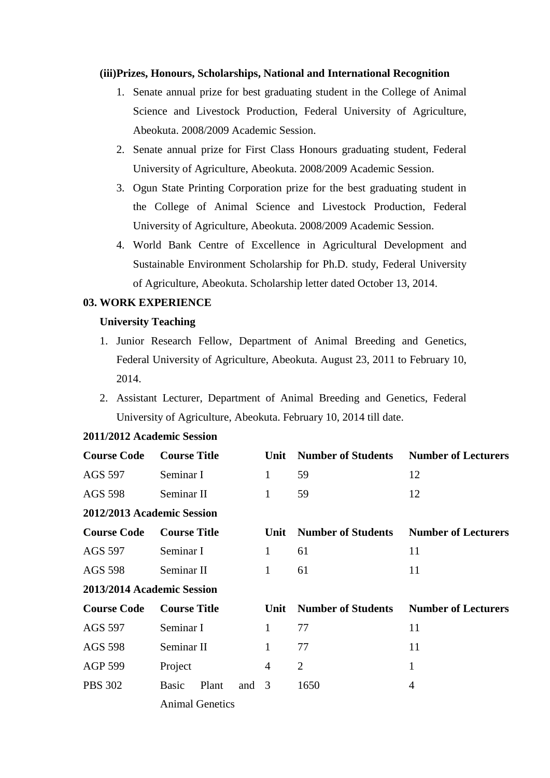#### **(iii)Prizes, Honours, Scholarships, National and International Recognition**

- 1. Senate annual prize for best graduating student in the College of Animal Science and Livestock Production, Federal University of Agriculture, Abeokuta. 2008/2009 Academic Session.
- 2. Senate annual prize for First Class Honours graduating student, Federal University of Agriculture, Abeokuta. 2008/2009 Academic Session.
- 3. Ogun State Printing Corporation prize for the best graduating student in the College of Animal Science and Livestock Production, Federal University of Agriculture, Abeokuta. 2008/2009 Academic Session.
- 4. World Bank Centre of Excellence in Agricultural Development and Sustainable Environment Scholarship for Ph.D. study, Federal University of Agriculture, Abeokuta. Scholarship letter dated October 13, 2014.

#### **03. WORK EXPERIENCE**

### **University Teaching**

- 1. Junior Research Fellow, Department of Animal Breeding and Genetics, Federal University of Agriculture, Abeokuta. August 23, 2011 to February 10, 2014.
- 2. Assistant Lecturer, Department of Animal Breeding and Genetics, Federal University of Agriculture, Abeokuta. February 10, 2014 till date.

| <b>Course Code</b>                        | <b>Course Title</b> |                        | Unit                      | <b>Number of Students</b>  | <b>Number of Lecturers</b> |                            |
|-------------------------------------------|---------------------|------------------------|---------------------------|----------------------------|----------------------------|----------------------------|
| AGS 597<br>Seminar I                      |                     | $\mathbf{1}$           | 59                        | 12                         |                            |                            |
| AGS 598                                   | Seminar II          |                        | $\mathbf{1}$              | 59                         | 12                         |                            |
| 2012/2013 Academic Session                |                     |                        |                           |                            |                            |                            |
| <b>Course Code</b>                        | <b>Course Title</b> |                        |                           | Unit                       | <b>Number of Students</b>  | <b>Number of Lecturers</b> |
| AGS 597<br>Seminar I                      |                     | 1                      | 61                        | 11                         |                            |                            |
| Seminar II<br>AGS 598                     |                     | $\mathbf{1}$           | 61                        | 11                         |                            |                            |
| 2013/2014 Academic Session                |                     |                        |                           |                            |                            |                            |
| <b>Course Code</b><br><b>Course Title</b> |                     | Unit                   | <b>Number of Students</b> | <b>Number of Lecturers</b> |                            |                            |
| AGS 597                                   | Seminar I           |                        | $\mathbf{1}$              | 77                         | 11                         |                            |
| Seminar II<br><b>AGS 598</b>              |                     | 1                      | 77                        | 11                         |                            |                            |
| <b>AGP 599</b>                            | Project             |                        | 4                         | $\overline{2}$             | 1                          |                            |
| <b>PBS 302</b>                            | <b>Basic</b>        | Plant                  | and                       | 3                          | 1650                       | 4                          |
|                                           |                     | <b>Animal Genetics</b> |                           |                            |                            |                            |

#### **2011/2012 Academic Session**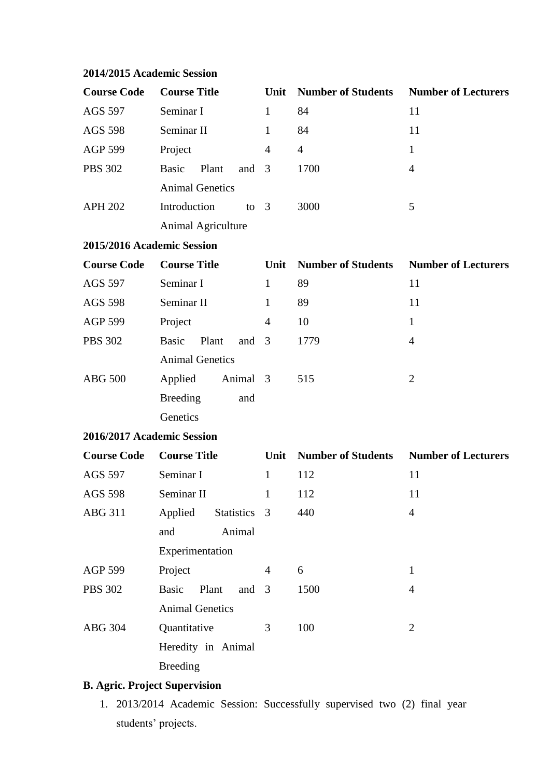| <b>Course Code</b>                        | <b>Course Title</b>              | Unit           | <b>Number of Students</b>                     | <b>Number of Lecturers</b> |
|-------------------------------------------|----------------------------------|----------------|-----------------------------------------------|----------------------------|
| <b>AGS 597</b>                            | Seminar I                        |                | 84                                            | 11                         |
| <b>AGS 598</b>                            | Seminar II                       | 1              | 84                                            | 11                         |
| <b>AGP 599</b>                            | Project                          | $\overline{4}$ | $\overline{4}$                                | $\mathbf{1}$               |
| <b>PBS 302</b>                            | <b>Basic</b><br>Plant<br>and     | $\overline{3}$ | 1700                                          | $\overline{4}$             |
|                                           | <b>Animal Genetics</b>           |                |                                               |                            |
| <b>APH 202</b>                            | Introduction<br>to $3$           |                | 3000                                          | 5                          |
|                                           | <b>Animal Agriculture</b>        |                |                                               |                            |
| 2015/2016 Academic Session                |                                  |                |                                               |                            |
| <b>Course Code</b><br><b>Course Title</b> |                                  | Unit           | <b>Number of Students</b>                     | <b>Number of Lecturers</b> |
| AGS 597                                   | Seminar I                        | $\mathbf{1}$   | 89                                            | 11                         |
| <b>AGS 598</b>                            | Seminar II                       | $\mathbf{1}$   | 89                                            | 11                         |
| <b>AGP 599</b>                            | Project                          | $\overline{4}$ | 10                                            | $\mathbf{1}$               |
| <b>PBS 302</b>                            | <b>Basic</b><br>Plant<br>and $3$ |                | 1779                                          | $\overline{4}$             |
|                                           | <b>Animal Genetics</b>           |                |                                               |                            |
| <b>ABG 500</b>                            | Applied<br>Animal 3              |                | 515                                           | $\overline{2}$             |
|                                           | <b>Breeding</b><br>and           |                |                                               |                            |
|                                           | Genetics                         |                |                                               |                            |
| 2016/2017 Academic Session                |                                  |                |                                               |                            |
| <b>Course Code</b>                        | <b>Course Title</b>              | Unit           | <b>Number of Students</b> Number of Lecturers |                            |
| <b>AGS 597</b>                            | Seminar I                        | $\mathbf{1}$   | 112                                           | 11                         |
| <b>AGS 598</b>                            | Seminar II                       |                | 112                                           | 11                         |
| <b>ABG 311</b>                            | Applied<br>Statistics 3          |                | 440                                           | $\overline{4}$             |
|                                           | Animal<br>and                    |                |                                               |                            |
|                                           | Experimentation                  |                |                                               |                            |
| <b>AGP 599</b>                            | Project                          | 4              | 6                                             | $\mathbf{1}$               |
| <b>PBS 302</b>                            | <b>Basic</b><br>Plant<br>and     | 3              | 1500                                          | $\overline{4}$             |
|                                           | <b>Animal Genetics</b>           |                |                                               |                            |
| <b>ABG 304</b>                            | Quantitative                     | 3              | 100                                           | $\overline{2}$             |
|                                           | Heredity in Animal               |                |                                               |                            |
|                                           | <b>Breeding</b>                  |                |                                               |                            |

# **2014/2015 Academic Session**

# **B. Agric. Project Supervision**

1. 2013/2014 Academic Session: Successfully supervised two (2) final year students' projects.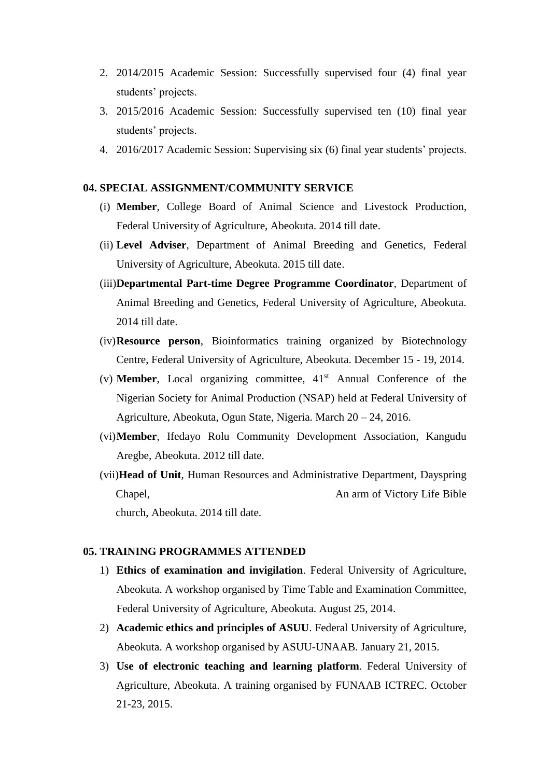- 2. 2014/2015 Academic Session: Successfully supervised four (4) final year students' projects.
- 3. 2015/2016 Academic Session: Successfully supervised ten (10) final year students' projects.
- 4. 2016/2017 Academic Session: Supervising six (6) final year students' projects.

## **04. SPECIAL ASSIGNMENT/COMMUNITY SERVICE**

- (i) **Member**, College Board of Animal Science and Livestock Production, Federal University of Agriculture, Abeokuta. 2014 till date.
- (ii) **Level Adviser**, Department of Animal Breeding and Genetics, Federal University of Agriculture, Abeokuta. 2015 till date.
- (iii)**Departmental Part-time Degree Programme Coordinator**, Department of Animal Breeding and Genetics, Federal University of Agriculture, Abeokuta. 2014 till date.
- (iv)**Resource person**, Bioinformatics training organized by Biotechnology Centre, Federal University of Agriculture, Abeokuta. December 15 - 19, 2014.
- (v) **Member**, Local organizing committee,  $41<sup>st</sup>$  Annual Conference of the Nigerian Society for Animal Production (NSAP) held at Federal University of Agriculture, Abeokuta, Ogun State, Nigeria. March 20 – 24, 2016.
- (vi)**Member**, Ifedayo Rolu Community Development Association, Kangudu Aregbe, Abeokuta. 2012 till date.
- (vii)**Head of Unit**, Human Resources and Administrative Department, Dayspring Chapel, An arm of Victory Life Bible church, Abeokuta. 2014 till date.

#### **05. TRAINING PROGRAMMES ATTENDED**

- 1) **Ethics of examination and invigilation**. Federal University of Agriculture, Abeokuta. A workshop organised by Time Table and Examination Committee, Federal University of Agriculture, Abeokuta. August 25, 2014.
- 2) **Academic ethics and principles of ASUU**. Federal University of Agriculture, Abeokuta. A workshop organised by ASUU-UNAAB. January 21, 2015.
- 3) **Use of electronic teaching and learning platform**. Federal University of Agriculture, Abeokuta. A training organised by FUNAAB ICTREC. October 21-23, 2015.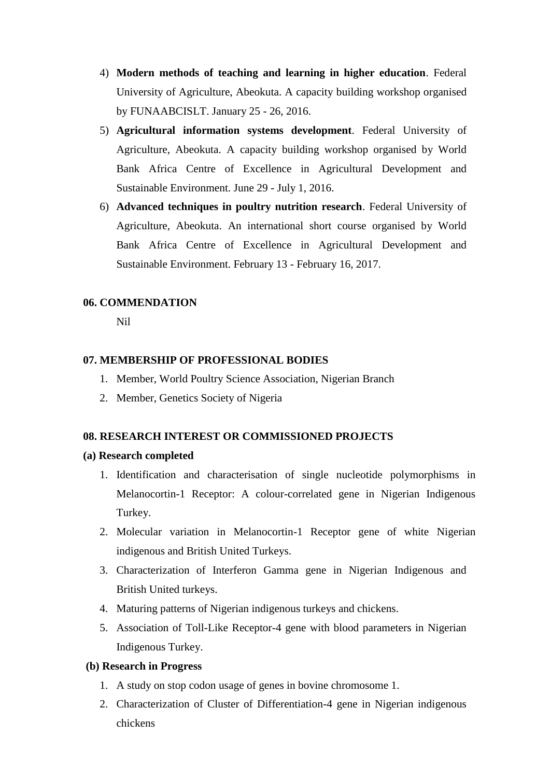- 4) **Modern methods of teaching and learning in higher education**. Federal University of Agriculture, Abeokuta. A capacity building workshop organised by FUNAABCISLT. January 25 - 26, 2016.
- 5) **Agricultural information systems development**. Federal University of Agriculture, Abeokuta. A capacity building workshop organised by World Bank Africa Centre of Excellence in Agricultural Development and Sustainable Environment. June 29 - July 1, 2016.
- 6) **Advanced techniques in poultry nutrition research**. Federal University of Agriculture, Abeokuta. An international short course organised by World Bank Africa Centre of Excellence in Agricultural Development and Sustainable Environment. February 13 - February 16, 2017.

#### **06. COMMENDATION**

Nil

### **07. MEMBERSHIP OF PROFESSIONAL BODIES**

- 1. Member, World Poultry Science Association, Nigerian Branch
- 2. Member, Genetics Society of Nigeria

## **08. RESEARCH INTEREST OR COMMISSIONED PROJECTS**

#### **(a) Research completed**

- 1. Identification and characterisation of single nucleotide polymorphisms in Melanocortin-1 Receptor: A colour-correlated gene in Nigerian Indigenous Turkey.
- 2. Molecular variation in Melanocortin-1 Receptor gene of white Nigerian indigenous and British United Turkeys.
- 3. Characterization of Interferon Gamma gene in Nigerian Indigenous and British United turkeys.
- 4. Maturing patterns of Nigerian indigenous turkeys and chickens.
- 5. Association of Toll-Like Receptor-4 gene with blood parameters in Nigerian Indigenous Turkey.

#### **(b) Research in Progress**

- 1. A study on stop codon usage of genes in bovine chromosome 1.
- 2. Characterization of Cluster of Differentiation-4 gene in Nigerian indigenous chickens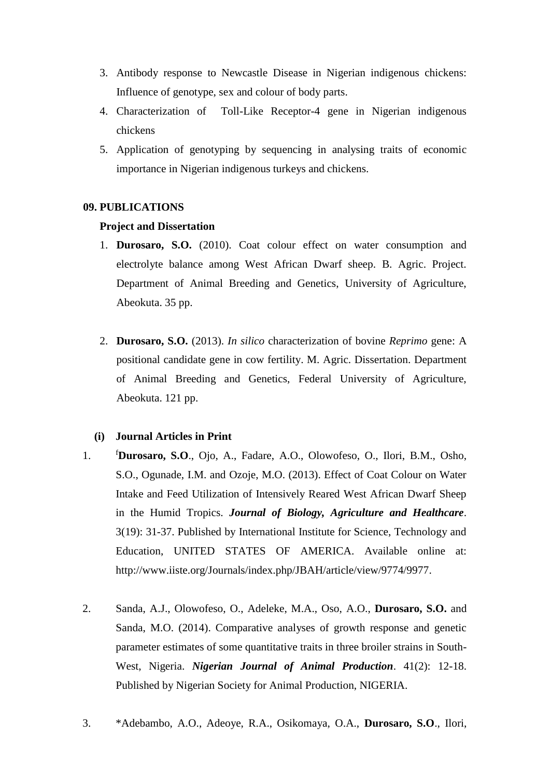- 3. Antibody response to Newcastle Disease in Nigerian indigenous chickens: Influence of genotype, sex and colour of body parts.
- 4. Characterization of Toll-Like Receptor-4 gene in Nigerian indigenous chickens
- 5. Application of genotyping by sequencing in analysing traits of economic importance in Nigerian indigenous turkeys and chickens.

## **09. PUBLICATIONS**

#### **Project and Dissertation**

- 1. **Durosaro, S.O.** (2010). Coat colour effect on water consumption and electrolyte balance among West African Dwarf sheep. B. Agric. Project. Department of Animal Breeding and Genetics, University of Agriculture, Abeokuta. 35 pp.
- 2. **Durosaro, S.O.** (2013). *In silico* characterization of bovine *Reprimo* gene: A positional candidate gene in cow fertility. M. Agric. Dissertation. Department of Animal Breeding and Genetics, Federal University of Agriculture, Abeokuta. 121 pp.

# **(i) Journal Articles in Print**

- 1. <sup>f</sup>**Durosaro, S.O**., Ojo, A., Fadare, A.O., Olowofeso, O., Ilori, B.M., Osho, S.O., Ogunade, I.M. and Ozoje, M.O. (2013). Effect of Coat Colour on Water Intake and Feed Utilization of Intensively Reared West African Dwarf Sheep in the Humid Tropics. *Journal of Biology, Agriculture and Healthcare*. 3(19): 31-37. Published by International Institute for Science, Technology and Education, UNITED STATES OF AMERICA. Available online at: http://www.iiste.org/Journals/index.php/JBAH/article/view/9774/9977.
- 2. Sanda, A.J., Olowofeso, O., Adeleke, M.A., Oso, A.O., **Durosaro, S.O.** and Sanda, M.O. (2014). Comparative analyses of growth response and genetic parameter estimates of some quantitative traits in three broiler strains in South-West, Nigeria. *Nigerian Journal of Animal Production*. 41(2): 12-18. Published by Nigerian Society for Animal Production, NIGERIA.
- 3. \*Adebambo, A.O., Adeoye, R.A., Osikomaya, O.A., **Durosaro, S.O**., Ilori,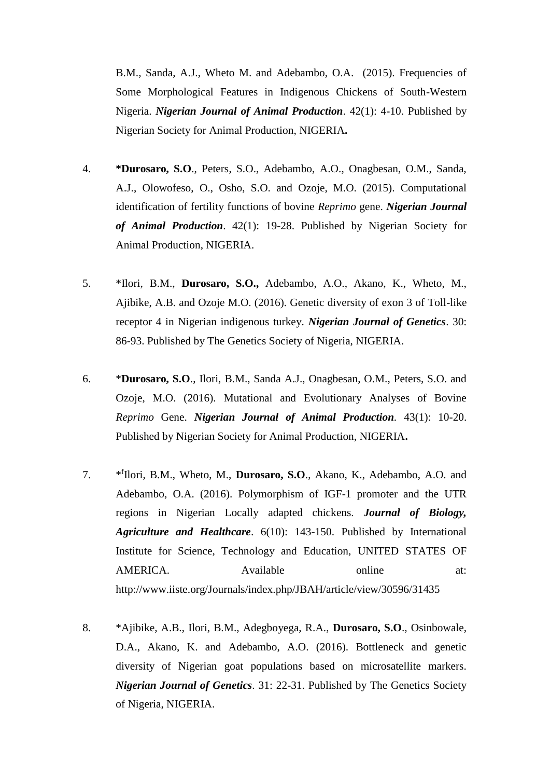B.M., Sanda, A.J., Wheto M. and Adebambo, O.A. (2015). Frequencies of Some Morphological Features in Indigenous Chickens of South-Western Nigeria. *Nigerian Journal of Animal Production*. 42(1): 4-10. Published by Nigerian Society for Animal Production, NIGERIA**.**

- 4. **\*Durosaro, S.O**., Peters, S.O., Adebambo, A.O., Onagbesan, O.M., Sanda, A.J., Olowofeso, O., Osho, S.O. and Ozoje, M.O. (2015). Computational identification of fertility functions of bovine *Reprimo* gene. *Nigerian Journal of Animal Production*. 42(1): 19-28. Published by Nigerian Society for Animal Production, NIGERIA.
- 5. \*Ilori, B.M., **Durosaro, S.O.,** Adebambo, A.O., Akano, K., Wheto, M., Ajibike, A.B. and Ozoje M.O. (2016). Genetic diversity of exon 3 of Toll-like receptor 4 in Nigerian indigenous turkey. *Nigerian Journal of Genetics*. 30: 86-93. Published by The Genetics Society of Nigeria, NIGERIA.
- 6. \***Durosaro, S.O**., Ilori, B.M., Sanda A.J., Onagbesan, O.M., Peters, S.O. and Ozoje, M.O. (2016). Mutational and Evolutionary Analyses of Bovine *Reprimo* Gene. *Nigerian Journal of Animal Production.* 43(1): 10-20. Published by Nigerian Society for Animal Production, NIGERIA**.**
- $7.$ f Ilori, B.M., Wheto, M., **Durosaro, S.O**., Akano, K., Adebambo, A.O. and Adebambo, O.A. (2016). Polymorphism of IGF-1 promoter and the UTR regions in Nigerian Locally adapted chickens. *Journal of Biology, Agriculture and Healthcare*. 6(10): 143-150. Published by International Institute for Science, Technology and Education, UNITED STATES OF AMERICA. Available online at: http://www.iiste.org/Journals/index.php/JBAH/article/view/30596/31435
- 8. \*Ajibike, A.B., Ilori, B.M., Adegboyega, R.A., **Durosaro, S.O**., Osinbowale, D.A., Akano, K. and Adebambo, A.O. (2016). Bottleneck and genetic diversity of Nigerian goat populations based on microsatellite markers. *Nigerian Journal of Genetics*. 31: 22-31. Published by The Genetics Society of Nigeria, NIGERIA.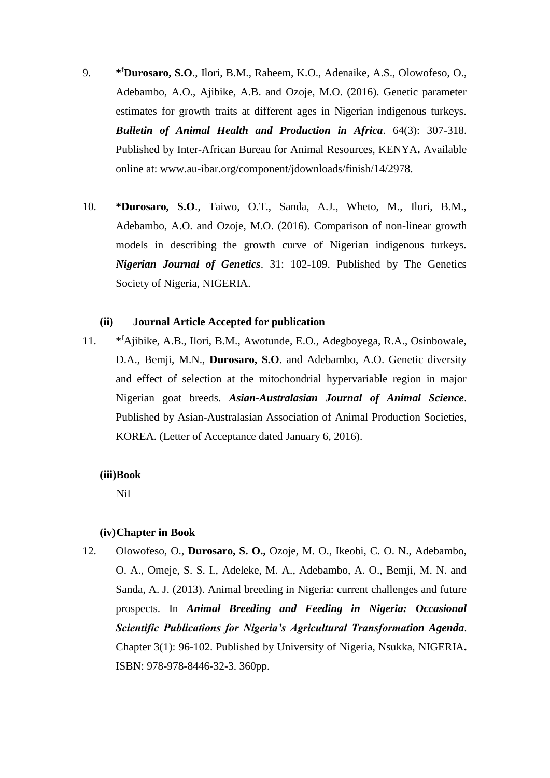- 9. **\*** <sup>f</sup>**Durosaro, S.O**., Ilori, B.M., Raheem, K.O., Adenaike, A.S., Olowofeso, O., Adebambo, A.O., Ajibike, A.B. and Ozoje, M.O. (2016). Genetic parameter estimates for growth traits at different ages in Nigerian indigenous turkeys. *Bulletin of Animal Health and Production in Africa*. 64(3): 307-318. Published by Inter-African Bureau for Animal Resources, KENYA**.** Available online at: www.au-ibar.org/component/jdownloads/finish/14/2978.
- 10. **\*Durosaro, S.O**., Taiwo, O.T., Sanda, A.J., Wheto, M., Ilori, B.M., Adebambo, A.O. and Ozoje, M.O. (2016). Comparison of non-linear growth models in describing the growth curve of Nigerian indigenous turkeys. *Nigerian Journal of Genetics*. 31: 102-109. Published by The Genetics Society of Nigeria, NIGERIA.

## **(ii) Journal Article Accepted for publication**

 $11.$ <sup>f</sup>Ajibike, A.B., Ilori, B.M., Awotunde, E.O., Adegboyega, R.A., Osinbowale, D.A., Bemji, M.N., **Durosaro, S.O**. and Adebambo, A.O. Genetic diversity and effect of selection at the mitochondrial hypervariable region in major Nigerian goat breeds. *Asian-Australasian Journal of Animal Science*. Published by Asian-Australasian Association of Animal Production Societies, KOREA. (Letter of Acceptance dated January 6, 2016).

#### **(iii)Book**

Nil

#### **(iv)Chapter in Book**

12. Olowofeso, O., **Durosaro, S. O.,** Ozoje, M. O., Ikeobi, C. O. N., Adebambo, O. A., Omeje, S. S. I., Adeleke, M. A., Adebambo, A. O., Bemji, M. N. and Sanda, A. J. (2013). Animal breeding in Nigeria: current challenges and future prospects. In *Animal Breeding and Feeding in Nigeria: Occasional Scientific Publications for Nigeria's Agricultural Transformation Agenda*. Chapter 3(1): 96-102. Published by University of Nigeria, Nsukka, NIGERIA**.** ISBN: 978-978-8446-32-3. 360pp.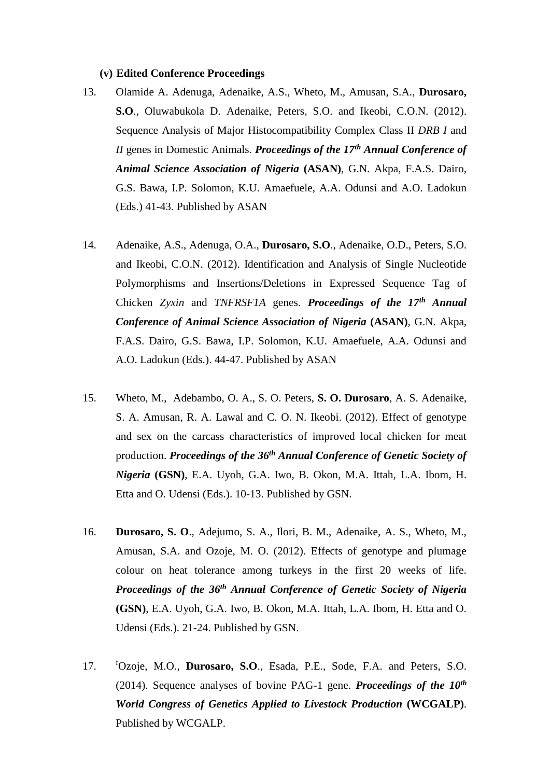#### **(v) Edited Conference Proceedings**

- 13. Olamide A. Adenuga, Adenaike, A.S., Wheto, M., Amusan, S.A., **Durosaro, S.O**., Oluwabukola D. Adenaike, Peters, S.O. and Ikeobi, C.O.N. (2012). Sequence Analysis of Major Histocompatibility Complex Class II *DRB I* and *II* genes in Domestic Animals. *Proceedings of the 17th Annual Conference of Animal Science Association of Nigeria* **(ASAN)**, G.N. Akpa, F.A.S. Dairo, G.S. Bawa, I.P. Solomon, K.U. Amaefuele, A.A. Odunsi and A.O. Ladokun (Eds.) 41-43. Published by ASAN
- 14. Adenaike, A.S., Adenuga, O.A., **Durosaro, S.O**., Adenaike, O.D., Peters, S.O. and Ikeobi, C.O.N. (2012). Identification and Analysis of Single Nucleotide Polymorphisms and Insertions/Deletions in Expressed Sequence Tag of Chicken *Zyxin* and *TNFRSF1A* genes. *Proceedings of the 17th Annual Conference of Animal Science Association of Nigeria* **(ASAN)**, G.N. Akpa, F.A.S. Dairo, G.S. Bawa, I.P. Solomon, K.U. Amaefuele, A.A. Odunsi and A.O. Ladokun (Eds.). 44-47. Published by ASAN
- 15. Wheto, M., Adebambo, O. A., S. O. Peters, **S. O. Durosaro**, A. S. Adenaike, S. A. Amusan, R. A. Lawal and C. O. N. Ikeobi. (2012). Effect of genotype and sex on the carcass characteristics of improved local chicken for meat production. *Proceedings of the 36th Annual Conference of Genetic Society of Nigeria* **(GSN)**, E.A. Uyoh, G.A. Iwo, B. Okon, M.A. Ittah, L.A. Ibom, H. Etta and O. Udensi (Eds.). 10-13. Published by GSN.
- 16. **Durosaro, S. O**., Adejumo, S. A., Ilori, B. M., Adenaike, A. S., Wheto, M., Amusan, S.A. and Ozoje, M. O. (2012). Effects of genotype and plumage colour on heat tolerance among turkeys in the first 20 weeks of life. *Proceedings of the 36th Annual Conference of Genetic Society of Nigeria*  **(GSN)**, E.A. Uyoh, G.A. Iwo, B. Okon, M.A. Ittah, L.A. Ibom, H. Etta and O. Udensi (Eds.). 21-24. Published by GSN.
- 17. <sup>f</sup>Ozoje, M.O., **Durosaro, S.O**., Esada, P.E., Sode, F.A. and Peters, S.O. (2014). Sequence analyses of bovine PAG-1 gene. *Proceedings of the 10th World Congress of Genetics Applied to Livestock Production* **(WCGALP)**. Published by WCGALP.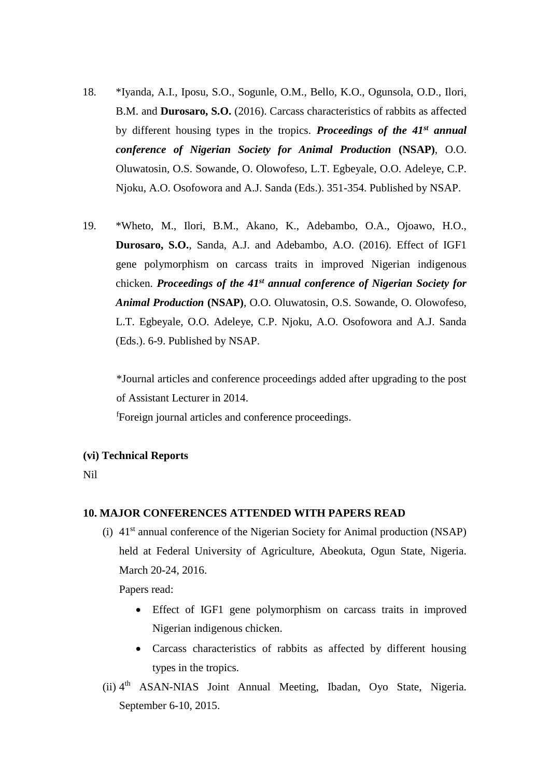- 18. \*Iyanda, A.I., Iposu, S.O., Sogunle, O.M., Bello, K.O., Ogunsola, O.D., Ilori, B.M. and **Durosaro, S.O.** (2016). Carcass characteristics of rabbits as affected by different housing types in the tropics. *Proceedings of the 41st annual conference of Nigerian Society for Animal Production* **(NSAP)**, O.O. Oluwatosin, O.S. Sowande, O. Olowofeso, L.T. Egbeyale, O.O. Adeleye, C.P. Njoku, A.O. Osofowora and A.J. Sanda (Eds.). 351-354. Published by NSAP.
- 19. \*Wheto, M., Ilori, B.M., Akano, K., Adebambo, O.A., Ojoawo, H.O., **Durosaro, S.O.**, Sanda, A.J. and Adebambo, A.O. (2016). Effect of IGF1 gene polymorphism on carcass traits in improved Nigerian indigenous chicken. *Proceedings of the 41st annual conference of Nigerian Society for Animal Production* **(NSAP)**, O.O. Oluwatosin, O.S. Sowande, O. Olowofeso, L.T. Egbeyale, O.O. Adeleye, C.P. Njoku, A.O. Osofowora and A.J. Sanda (Eds.). 6-9. Published by NSAP.

\*Journal articles and conference proceedings added after upgrading to the post of Assistant Lecturer in 2014.

<sup>f</sup>Foreign journal articles and conference proceedings.

#### **(vi) Technical Reports**

Nil

### **10. MAJOR CONFERENCES ATTENDED WITH PAPERS READ**

(i)  $41<sup>st</sup>$  annual conference of the Nigerian Society for Animal production (NSAP) held at Federal University of Agriculture, Abeokuta, Ogun State, Nigeria. March 20-24, 2016.

Papers read:

- Effect of IGF1 gene polymorphism on carcass traits in improved Nigerian indigenous chicken.
- Carcass characteristics of rabbits as affected by different housing types in the tropics.
- (ii) 4<sup>th</sup> ASAN-NIAS Joint Annual Meeting, Ibadan, Oyo State, Nigeria. September 6-10, 2015.